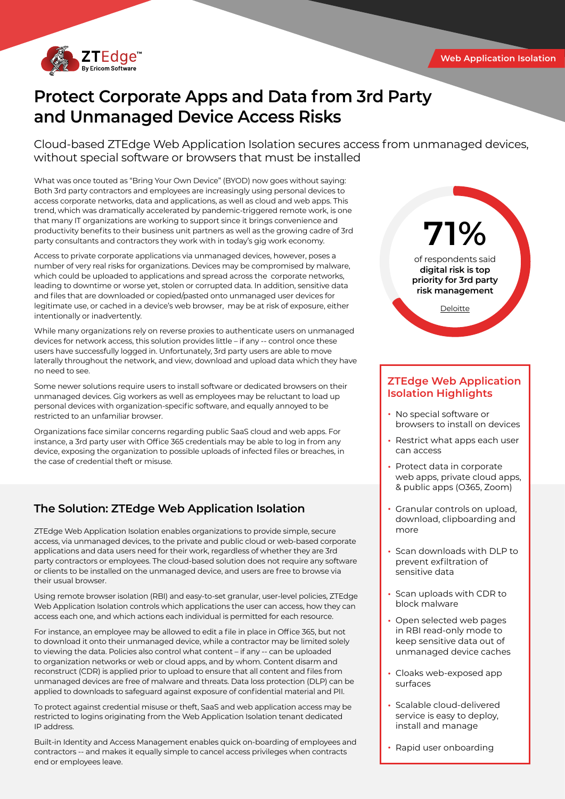

# **Protect Corporate Apps and Data from 3rd Party and Unmanaged Device Access Risks**

Cloud-based ZTEdge Web Application Isolation secures access from unmanaged devices, without special software or browsers that must be installed

What was once touted as "Bring Your Own Device" (BYOD) now goes without saying: Both 3rd party contractors and employees are increasingly using personal devices to access corporate networks, data and applications, as well as cloud and web apps. This trend, which was dramatically accelerated by pandemic-triggered remote work, is one that many IT organizations are working to support since it brings convenience and productivity benefits to their business unit partners as well as the growing cadre of 3rd party consultants and contractors they work with in today's gig work economy.

Access to private corporate applications via unmanaged devices, however, poses a number of very real risks for organizations. Devices may be compromised by malware, which could be uploaded to applications and spread across the corporate networks, leading to downtime or worse yet, stolen or corrupted data. In addition, sensitive data and files that are downloaded or copied/pasted onto unmanaged user devices for legitimate use, or cached in a device's web browser, may be at risk of exposure, either intentionally or inadvertently.

While many organizations rely on reverse proxies to authenticate users on unmanaged devices for network access, this solution provides little – if any -- control once these users have successfully logged in. Unfortunately, 3rd party users are able to move laterally throughout the network, and view, download and upload data which they have no need to see.

Some newer solutions require users to install software or dedicated browsers on their unmanaged devices. Gig workers as well as employees may be reluctant to load up personal devices with organization-specific software, and equally annoyed to be restricted to an unfamiliar browser.

Organizations face similar concerns regarding public SaaS cloud and web apps. For instance, a 3rd party user with Office 365 credentials may be able to log in from any device, exposing the organization to possible uploads of infected files or breaches, in the case of credential theft or misuse.

## **The Solution: ZTEdge Web Application Isolation**

ZTEdge Web Application Isolation enables organizations to provide simple, secure access, via unmanaged devices, to the private and public cloud or web-based corporate applications and data users need for their work, regardless of whether they are 3rd party contractors or employees. The cloud-based solution does not require any software or clients to be installed on the unmanaged device, and users are free to browse via their usual browser.

Using remote browser isolation (RBI) and easy-to-set granular, user-level policies, ZTEdge Web Application Isolation controls which applications the user can access, how they can access each one, and which actions each individual is permitted for each resource.

For instance, an employee may be allowed to edit a file in place in Office 365, but not to download it onto their unmanaged device, while a contractor may be limited solely to viewing the data. Policies also control what content – if any -- can be uploaded to organization networks or web or cloud apps, and by whom. Content disarm and reconstruct (CDR) is applied prior to upload to ensure that all content and files from unmanaged devices are free of malware and threats. Data loss protection (DLP) can be applied to downloads to safeguard against exposure of confidential material and PII.

To protect against credential misuse or theft, SaaS and web application access may be restricted to logins originating from the Web Application Isolation tenant dedicated IP address.

Built-in Identity and Access Management enables quick on-boarding of employees and contractors -- and makes it equally simple to cancel access privileges when contracts end or employees leave.

of respondents said **digital risk is top priority for 3rd party risk management 71%**

[Deloitte](https://www2.deloitte.com/content/dam/Deloitte/global/Documents/Risk/gx-global-tprm-survey-report-2021.pdf)

### **ZTEdge Web Application Isolation Highlights**

- No special software or browsers to install on devices
- Restrict what apps each user can access
- Protect data in corporate web apps, private cloud apps, & public apps (O365, Zoom)
- Granular controls on upload, download, clipboarding and more
- Scan downloads with DLP to prevent exfiltration of sensitive data
- Scan uploads with CDR to block malware
- Open selected web pages in RBI read-only mode to keep sensitive data out of unmanaged device caches
- Cloaks web-exposed app surfaces
- Scalable cloud-delivered service is easy to deploy, install and manage
- Rapid user onboarding

#### **Web Application Isolation**